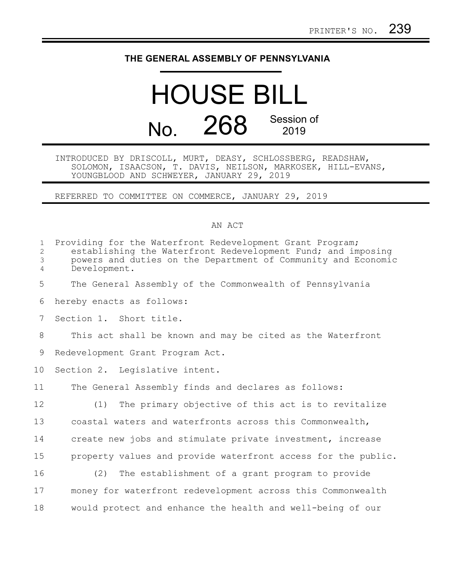## **THE GENERAL ASSEMBLY OF PENNSYLVANIA**

## HOUSE BILL No. 268 Session of 2019

## INTRODUCED BY DRISCOLL, MURT, DEASY, SCHLOSSBERG, READSHAW, SOLOMON, ISAACSON, T. DAVIS, NEILSON, MARKOSEK, HILL-EVANS, YOUNGBLOOD AND SCHWEYER, JANUARY 29, 2019

REFERRED TO COMMITTEE ON COMMERCE, JANUARY 29, 2019

## AN ACT

| $\mathbf{1}$<br>$\mathbf{2}$<br>3<br>$\overline{4}$ | Providing for the Waterfront Redevelopment Grant Program;<br>establishing the Waterfront Redevelopment Fund; and imposing<br>powers and duties on the Department of Community and Economic<br>Development. |
|-----------------------------------------------------|------------------------------------------------------------------------------------------------------------------------------------------------------------------------------------------------------------|
| 5                                                   | The General Assembly of the Commonwealth of Pennsylvania                                                                                                                                                   |
| 6                                                   | hereby enacts as follows:                                                                                                                                                                                  |
| 7                                                   | Section 1. Short title.                                                                                                                                                                                    |
| 8                                                   | This act shall be known and may be cited as the Waterfront                                                                                                                                                 |
| 9                                                   | Redevelopment Grant Program Act.                                                                                                                                                                           |
| 10                                                  | Section 2. Legislative intent.                                                                                                                                                                             |
| 11                                                  | The General Assembly finds and declares as follows:                                                                                                                                                        |
| 12                                                  | The primary objective of this act is to revitalize<br>(1)                                                                                                                                                  |
| 13                                                  | coastal waters and waterfronts across this Commonwealth,                                                                                                                                                   |
| 14                                                  | create new jobs and stimulate private investment, increase                                                                                                                                                 |
| 15                                                  | property values and provide waterfront access for the public.                                                                                                                                              |
| 16                                                  | (2)<br>The establishment of a grant program to provide                                                                                                                                                     |
| 17                                                  | money for waterfront redevelopment across this Commonwealth                                                                                                                                                |
| 18                                                  | would protect and enhance the health and well-being of our                                                                                                                                                 |
|                                                     |                                                                                                                                                                                                            |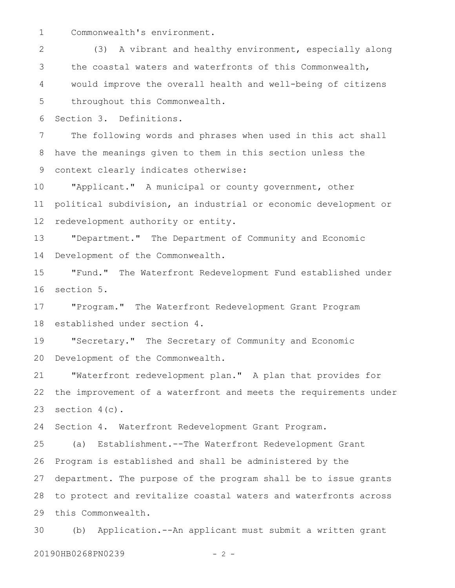Commonwealth's environment. 1

(3) A vibrant and healthy environment, especially along the coastal waters and waterfronts of this Commonwealth, would improve the overall health and well-being of citizens throughout this Commonwealth. 2 3 4 5

Section 3. Definitions. 6

The following words and phrases when used in this act shall have the meanings given to them in this section unless the context clearly indicates otherwise: 7 8 9

"Applicant." A municipal or county government, other political subdivision, an industrial or economic development or redevelopment authority or entity. 10 11 12

"Department." The Department of Community and Economic Development of the Commonwealth. 13 14

"Fund." The Waterfront Redevelopment Fund established under section 5. 15 16

"Program." The Waterfront Redevelopment Grant Program established under section 4. 17 18

"Secretary." The Secretary of Community and Economic Development of the Commonwealth. 19 20

"Waterfront redevelopment plan." A plan that provides for the improvement of a waterfront and meets the requirements under section  $4(c)$ . 21 22 23

Section 4. Waterfront Redevelopment Grant Program. 24

(a) Establishment.--The Waterfront Redevelopment Grant Program is established and shall be administered by the department. The purpose of the program shall be to issue grants to protect and revitalize coastal waters and waterfronts across this Commonwealth. 25 26 27 28 29

(b) Application.--An applicant must submit a written grant 30

20190HB0268PN0239 - 2 -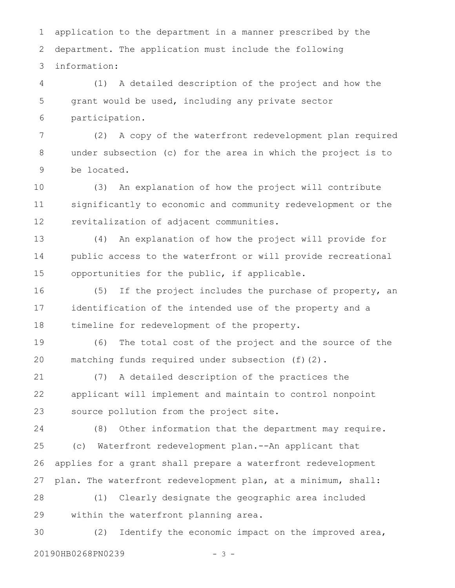application to the department in a manner prescribed by the department. The application must include the following information: 1 2 3

(1) A detailed description of the project and how the grant would be used, including any private sector participation. 4 5 6

(2) A copy of the waterfront redevelopment plan required under subsection (c) for the area in which the project is to be located. 7 8 9

(3) An explanation of how the project will contribute significantly to economic and community redevelopment or the revitalization of adjacent communities. 10 11 12

(4) An explanation of how the project will provide for public access to the waterfront or will provide recreational opportunities for the public, if applicable. 13 14 15

(5) If the project includes the purchase of property, an identification of the intended use of the property and a timeline for redevelopment of the property. 16 17 18

(6) The total cost of the project and the source of the matching funds required under subsection (f)(2). 19 20

(7) A detailed description of the practices the applicant will implement and maintain to control nonpoint source pollution from the project site. 21 22 23

(8) Other information that the department may require. (c) Waterfront redevelopment plan.--An applicant that applies for a grant shall prepare a waterfront redevelopment plan. The waterfront redevelopment plan, at a minimum, shall: 24 25 26 27

(1) Clearly designate the geographic area included within the waterfront planning area. 28 29

(2) Identify the economic impact on the improved area, 20190HB0268PN0239 - 3 -30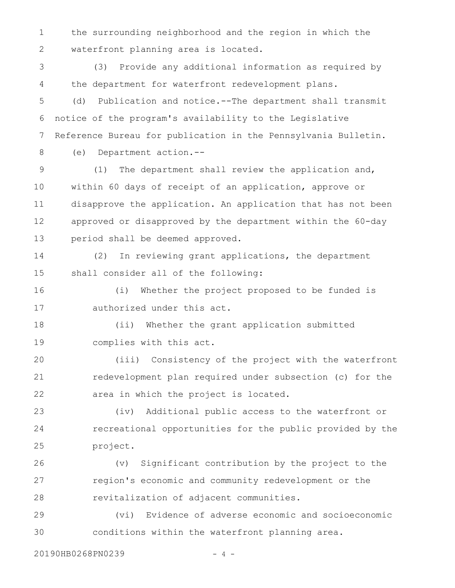the surrounding neighborhood and the region in which the waterfront planning area is located. 1 2

(3) Provide any additional information as required by the department for waterfront redevelopment plans. 3 4

(d) Publication and notice.--The department shall transmit notice of the program's availability to the Legislative Reference Bureau for publication in the Pennsylvania Bulletin. 5 6 7

8

(e) Department action.--

(1) The department shall review the application and, within 60 days of receipt of an application, approve or disapprove the application. An application that has not been approved or disapproved by the department within the 60-day period shall be deemed approved. 9 10 11 12 13

(2) In reviewing grant applications, the department shall consider all of the following: 14 15

(i) Whether the project proposed to be funded is authorized under this act. 16 17

(ii) Whether the grant application submitted complies with this act. 18 19

(iii) Consistency of the project with the waterfront redevelopment plan required under subsection (c) for the area in which the project is located. 20 21 22

(iv) Additional public access to the waterfront or recreational opportunities for the public provided by the project. 23 24 25

(v) Significant contribution by the project to the region's economic and community redevelopment or the revitalization of adjacent communities. 26 27 28

(vi) Evidence of adverse economic and socioeconomic conditions within the waterfront planning area. 29 30

20190HB0268PN0239 - 4 -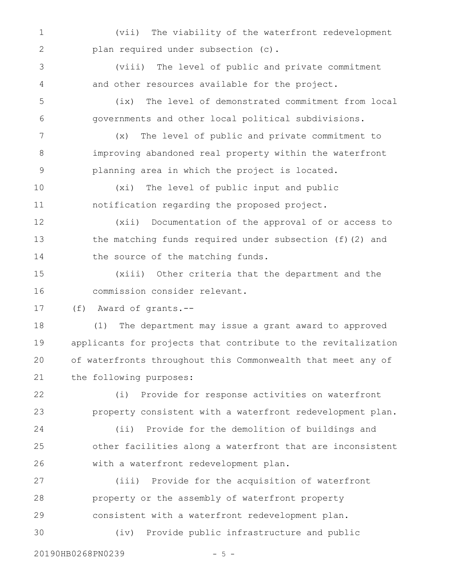(vii) The viability of the waterfront redevelopment plan required under subsection (c). 1 2

(viii) The level of public and private commitment and other resources available for the project. 3 4

(ix) The level of demonstrated commitment from local governments and other local political subdivisions. 5 6

(x) The level of public and private commitment to improving abandoned real property within the waterfront planning area in which the project is located. 7 8 9

(xi) The level of public input and public notification regarding the proposed project. 10 11

(xii) Documentation of the approval of or access to the matching funds required under subsection (f)(2) and the source of the matching funds. 12 13 14

(xiii) Other criteria that the department and the commission consider relevant. 15 16

(f) Award of grants.-- 17

(1) The department may issue a grant award to approved applicants for projects that contribute to the revitalization of waterfronts throughout this Commonwealth that meet any of the following purposes: 18 19 20 21

(i) Provide for response activities on waterfront property consistent with a waterfront redevelopment plan. (ii) Provide for the demolition of buildings and other facilities along a waterfront that are inconsistent with a waterfront redevelopment plan. 22 23 24 25 26

(iii) Provide for the acquisition of waterfront property or the assembly of waterfront property consistent with a waterfront redevelopment plan. 27 28 29

(iv) Provide public infrastructure and public 30

20190HB0268PN0239 - 5 -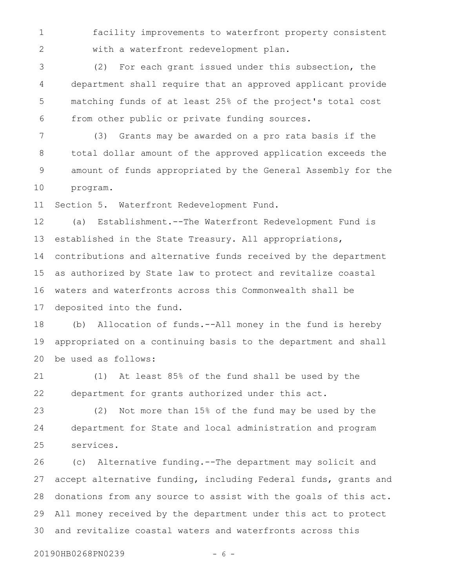facility improvements to waterfront property consistent with a waterfront redevelopment plan. 1 2

(2) For each grant issued under this subsection, the department shall require that an approved applicant provide matching funds of at least 25% of the project's total cost from other public or private funding sources. 3 4 5 6

(3) Grants may be awarded on a pro rata basis if the total dollar amount of the approved application exceeds the amount of funds appropriated by the General Assembly for the program. 7 8 9 10

Section 5. Waterfront Redevelopment Fund. 11

(a) Establishment.--The Waterfront Redevelopment Fund is established in the State Treasury. All appropriations, contributions and alternative funds received by the department as authorized by State law to protect and revitalize coastal waters and waterfronts across this Commonwealth shall be deposited into the fund. 12 13 14 15 16 17

(b) Allocation of funds.--All money in the fund is hereby appropriated on a continuing basis to the department and shall be used as follows: 18 19 20

(1) At least 85% of the fund shall be used by the department for grants authorized under this act. 21 22

(2) Not more than 15% of the fund may be used by the department for State and local administration and program services. 23 24 25

(c) Alternative funding.--The department may solicit and accept alternative funding, including Federal funds, grants and donations from any source to assist with the goals of this act. All money received by the department under this act to protect and revitalize coastal waters and waterfronts across this 26 27 28 29 30

20190HB0268PN0239 - 6 -